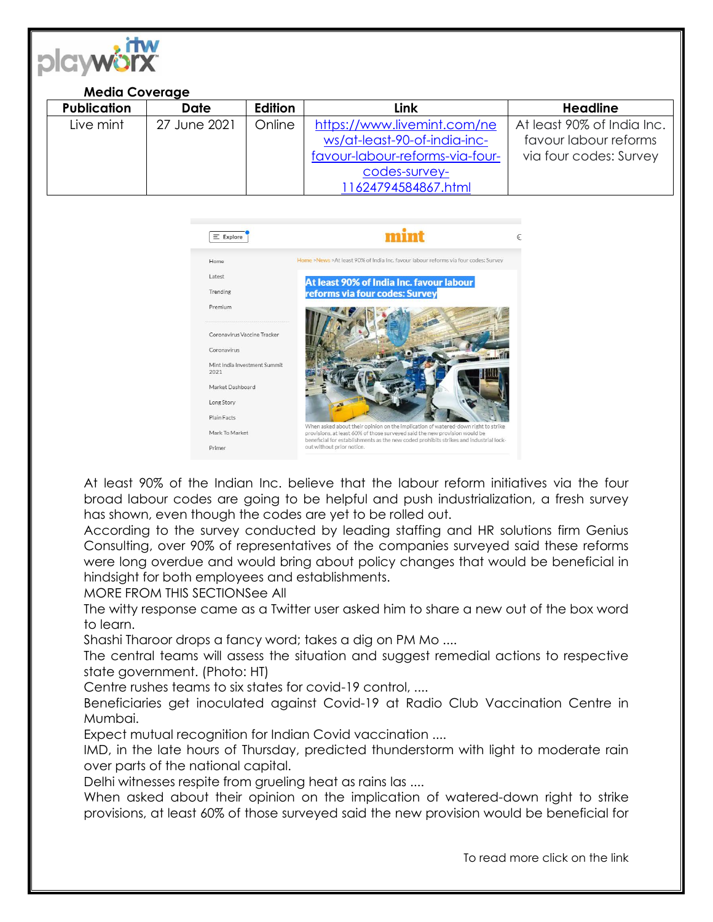

| <b>Media Coverage</b> |              |                |                                 |                            |
|-----------------------|--------------|----------------|---------------------------------|----------------------------|
| <b>Publication</b>    | Date         | <b>Edition</b> | Link                            | <b>Headline</b>            |
| Live mint             | 27 June 2021 | Online         | https://www.livemint.com/ne     | At least 90% of India Inc. |
|                       |              |                | ws/at-least-90-of-india-inc-    | favour labour reforms      |
|                       |              |                | favour-labour-reforms-via-four- | via four codes: Survey     |
|                       |              |                | codes-survey-                   |                            |
|                       |              |                | 11624794584867.html             |                            |



At least 90% of the Indian Inc. believe that the labour reform initiatives via the four broad labour codes are going to be helpful and push industrialization, a fresh survey has shown, even though the codes are yet to be rolled out.

According to the survey conducted by leading staffing and HR solutions firm Genius Consulting, over 90% of representatives of the companies surveyed said these reforms were long overdue and would bring about policy changes that would be beneficial in hindsight for both employees and establishments.

MORE FROM THIS SECTIONSee All

The witty response came as a Twitter user asked him to share a new out of the box word to learn.

Shashi Tharoor drops a fancy word; takes a dig on PM Mo ....

The central teams will assess the situation and suggest remedial actions to respective state government. (Photo: HT)

Centre rushes teams to six states for covid-19 control, ....

Beneficiaries get inoculated against Covid-19 at Radio Club Vaccination Centre in Mumbai.

Expect mutual recognition for Indian Covid vaccination ....

IMD, in the late hours of Thursday, predicted thunderstorm with light to moderate rain over parts of the national capital.

Delhi witnesses respite from grueling heat as rains las ....

When asked about their opinion on the implication of watered-down right to strike provisions, at least 60% of those surveyed said the new provision would be beneficial for

To read more click on the link